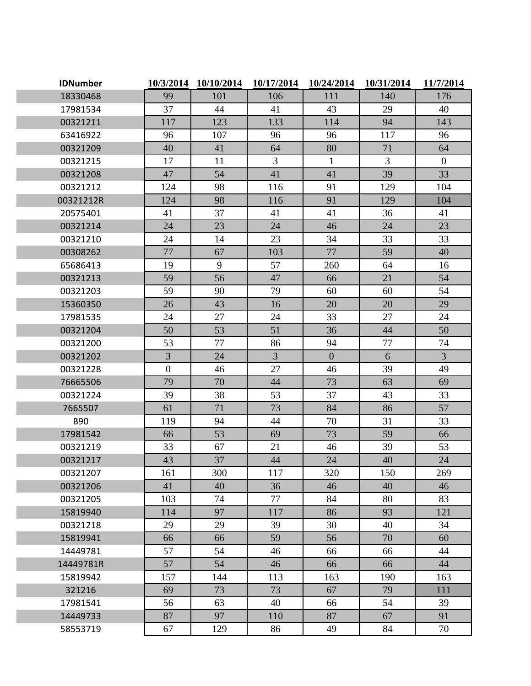| <b>IDNumber</b> | 10/3/2014        | 10/10/2014 | 10/17/2014     | 10/24/2014     | 10/31/2014 | 11/7/2014      |
|-----------------|------------------|------------|----------------|----------------|------------|----------------|
| 18330468        | 99               | 101        | 106            | 111            | 140        | 176            |
| 17981534        | 37               | 44         | 41             | 43             | 29         | 40             |
| 00321211        | 117              | 123        | 133            | 114            | 94         | 143            |
| 63416922        | 96               | 107        | 96             | 96             | 117        | 96             |
| 00321209        | 40               | 41         | 64             | 80             | 71         | 64             |
| 00321215        | 17               | 11         | 3              | $\mathbf{1}$   | 3          | $\mathbf{0}$   |
| 00321208        | 47               | 54         | 41             | 41             | 39         | 33             |
| 00321212        | 124              | 98         | 116            | 91             | 129        | 104            |
| 00321212R       | 124              | 98         | 116            | 91             | 129        | 104            |
| 20575401        | 41               | 37         | 41             | 41             | 36         | 41             |
| 00321214        | 24               | 23         | 24             | 46             | 24         | 23             |
| 00321210        | 24               | 14         | 23             | 34             | 33         | 33             |
| 00308262        | 77               | 67         | 103            | 77             | 59         | 40             |
| 65686413        | 19               | 9          | 57             | 260            | 64         | 16             |
| 00321213        | 59               | 56         | 47             | 66             | 21         | 54             |
| 00321203        | 59               | 90         | 79             | 60             | 60         | 54             |
| 15360350        | 26               | 43         | 16             | 20             | 20         | 29             |
| 17981535        | 24               | 27         | 24             | 33             | 27         | 24             |
| 00321204        | 50               | 53         | 51             | 36             | 44         | 50             |
| 00321200        | 53               | 77         | 86             | 94             | 77         | 74             |
| 00321202        | $\overline{3}$   | 24         | $\overline{3}$ | $\overline{0}$ | 6          | $\overline{3}$ |
| 00321228        | $\boldsymbol{0}$ | 46         | 27             | 46             | 39         | 49             |
| 76665506        | 79               | 70         | 44             | 73             | 63         | 69             |
| 00321224        | 39               | 38         | 53             | 37             | 43         | 33             |
| 7665507         | 61               | 71         | 73             | 84             | 86         | 57             |
| <b>B90</b>      | 119              | 94         | 44             | 70             | 31         | 33             |
| 17981542        | 66               | 53         | 69             | 73             | 59         | 66             |
| 00321219        | 33               | 67         | 21             | 46             | 39         | 53             |
| 00321217        | 43               | 37         | 44             | 24             | 40         | 24             |
| 00321207        | 161              | 300        | 117            | 320            | 150        | 269            |
| 00321206        | 41               | 40         | 36             | 46             | 40         | 46             |
| 00321205        | 103              | 74         | 77             | 84             | 80         | 83             |
| 15819940        | 114              | 97         | 117            | 86             | 93         | 121            |
| 00321218        | 29               | 29         | 39             | 30             | 40         | 34             |
| 15819941        | 66               | 66         | 59             | 56             | 70         | 60             |
| 14449781        | 57               | 54         | 46             | 66             | 66         | 44             |
| 14449781R       | 57               | 54         | 46             | 66             | 66         | 44             |
| 15819942        | 157              | 144        | 113            | 163            | 190        | 163            |
| 321216          | 69               | 73         | 73             | 67             | 79         | 111            |
| 17981541        | 56               | 63         | 40             | 66             | 54         | 39             |
| 14449733        | 87               | 97         | 110            | 87             | 67         | 91             |
| 58553719        | 67               | 129        | 86             | 49             | 84         | 70             |